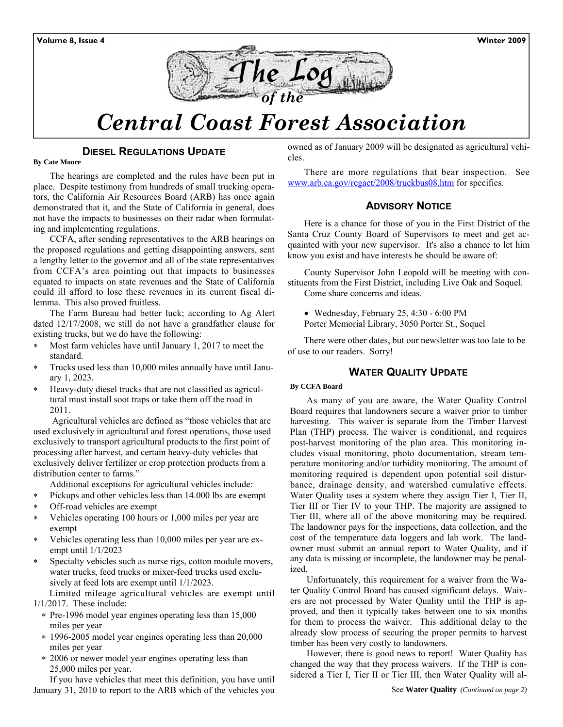

# *Central Coast Forest Association*

## **DIESEL REGULATIONS UPDATE**

#### **By Cate Moore**

The hearings are completed and the rules have been put in place. Despite testimony from hundreds of small trucking operators, the California Air Resources Board (ARB) has once again demonstrated that it, and the State of California in general, does not have the impacts to businesses on their radar when formulating and implementing regulations.

CCFA, after sending representatives to the ARB hearings on the proposed regulations and getting disappointing answers, sent a lengthy letter to the governor and all of the state representatives from CCFA's area pointing out that impacts to businesses equated to impacts on state revenues and the State of California could ill afford to lose these revenues in its current fiscal dilemma. This also proved fruitless.

The Farm Bureau had better luck; according to Ag Alert dated 12/17/2008, we still do not have a grandfather clause for existing trucks, but we do have the following:

- ∗ Most farm vehicles have until January 1, 2017 to meet the standard.
- ∗ Trucks used less than 10,000 miles annually have until January 1, 2023.
- ∗ Heavy-duty diesel trucks that are not classified as agricultural must install soot traps or take them off the road in 2011.

 Agricultural vehicles are defined as "those vehicles that are used exclusively in agricultural and forest operations, those used exclusively to transport agricultural products to the first point of processing after harvest, and certain heavy-duty vehicles that exclusively deliver fertilizer or crop protection products from a distribution center to farms."

- Additional exceptions for agricultural vehicles include:
- ∗ Pickups and other vehicles less than 14.000 lbs are exempt
- Off-road vehicles are exempt
- ∗ Vehicles operating 100 hours or 1,000 miles per year are exempt
- ∗ Vehicles operating less than 10,000 miles per year are exempt until 1/1/2023
- ∗ Specialty vehicles such as nurse rigs, cotton module movers, water trucks, feed trucks or mixer-feed trucks used exclusively at feed lots are exempt until 1/1/2023.

Limited mileage agricultural vehicles are exempt until 1/1/2017. These include:

- ∗ Pre-1996 model year engines operating less than 15,000 miles per year
- ∗ 1996-2005 model year engines operating less than 20,000 miles per year
- ∗ 2006 or newer model year engines operating less than 25,000 miles per year.

If you have vehicles that meet this definition, you have until January 31, 2010 to report to the ARB which of the vehicles you owned as of January 2009 will be designated as agricultural vehicles.

There are more regulations that bear inspection. See www.arb.ca.gov/regact/2008/truckbus08.htm for specifics.

## **ADVISORY NOTICE**

Here is a chance for those of you in the First District of the Santa Cruz County Board of Supervisors to meet and get acquainted with your new supervisor. It's also a chance to let him know you exist and have interests he should be aware of:

County Supervisor John Leopold will be meeting with constituents from the First District, including Live Oak and Soquel. Come share concerns and ideas.

• Wednesday, February 25, 4:30 - 6:00 PM

Porter Memorial Library, 3050 Porter St., Soquel

There were other dates, but our newsletter was too late to be of use to our readers. Sorry!

## **WATER QUALITY UPDATE**

#### **By CCFA Board**

As many of you are aware, the Water Quality Control Board requires that landowners secure a waiver prior to timber harvesting. This waiver is separate from the Timber Harvest Plan (THP) process. The waiver is conditional, and requires post-harvest monitoring of the plan area. This monitoring includes visual monitoring, photo documentation, stream temperature monitoring and/or turbidity monitoring. The amount of monitoring required is dependent upon potential soil disturbance, drainage density, and watershed cumulative effects. Water Quality uses a system where they assign Tier I, Tier II, Tier III or Tier IV to your THP. The majority are assigned to Tier III, where all of the above monitoring may be required. The landowner pays for the inspections, data collection, and the cost of the temperature data loggers and lab work. The landowner must submit an annual report to Water Quality, and if any data is missing or incomplete, the landowner may be penalized.

Unfortunately, this requirement for a waiver from the Water Quality Control Board has caused significant delays. Waivers are not processed by Water Quality until the THP is approved, and then it typically takes between one to six months for them to process the waiver. This additional delay to the already slow process of securing the proper permits to harvest timber has been very costly to landowners.

However, there is good news to report! Water Quality has changed the way that they process waivers. If the THP is considered a Tier I, Tier II or Tier III, then Water Quality will al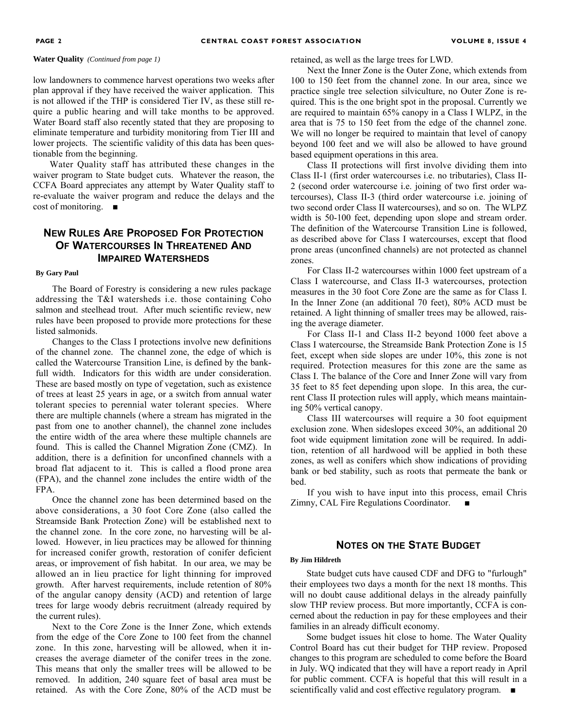**Water Quality** *(Continued from page 1)*

low landowners to commence harvest operations two weeks after plan approval if they have received the waiver application. This is not allowed if the THP is considered Tier IV, as these still require a public hearing and will take months to be approved. Water Board staff also recently stated that they are proposing to eliminate temperature and turbidity monitoring from Tier III and lower projects. The scientific validity of this data has been questionable from the beginning.

Water Quality staff has attributed these changes in the waiver program to State budget cuts. Whatever the reason, the CCFA Board appreciates any attempt by Water Quality staff to re-evaluate the waiver program and reduce the delays and the cost of monitoring. ■

## **NEW RULES ARE PROPOSED FOR PROTECTION OF WATERCOURSES IN THREATENED AND IMPAIRED WATERSHEDS**

#### **By Gary Paul**

The Board of Forestry is considering a new rules package addressing the T&I watersheds i.e. those containing Coho salmon and steelhead trout. After much scientific review, new rules have been proposed to provide more protections for these listed salmonids.

Changes to the Class I protections involve new definitions of the channel zone. The channel zone, the edge of which is called the Watercourse Transition Line, is defined by the bankfull width. Indicators for this width are under consideration. These are based mostly on type of vegetation, such as existence of trees at least 25 years in age, or a switch from annual water tolerant species to perennial water tolerant species. Where there are multiple channels (where a stream has migrated in the past from one to another channel), the channel zone includes the entire width of the area where these multiple channels are found. This is called the Channel Migration Zone (CMZ). In addition, there is a definition for unconfined channels with a broad flat adjacent to it. This is called a flood prone area (FPA), and the channel zone includes the entire width of the FPA.

Once the channel zone has been determined based on the above considerations, a 30 foot Core Zone (also called the Streamside Bank Protection Zone) will be established next to the channel zone. In the core zone, no harvesting will be allowed. However, in lieu practices may be allowed for thinning for increased conifer growth, restoration of conifer deficient areas, or improvement of fish habitat. In our area, we may be allowed an in lieu practice for light thinning for improved growth. After harvest requirements, include retention of 80% of the angular canopy density (ACD) and retention of large trees for large woody debris recruitment (already required by the current rules).

Next to the Core Zone is the Inner Zone, which extends from the edge of the Core Zone to 100 feet from the channel zone. In this zone, harvesting will be allowed, when it increases the average diameter of the conifer trees in the zone. This means that only the smaller trees will be allowed to be removed. In addition, 240 square feet of basal area must be retained. As with the Core Zone, 80% of the ACD must be retained, as well as the large trees for LWD.

Next the Inner Zone is the Outer Zone, which extends from 100 to 150 feet from the channel zone. In our area, since we practice single tree selection silviculture, no Outer Zone is required. This is the one bright spot in the proposal. Currently we are required to maintain 65% canopy in a Class I WLPZ, in the area that is 75 to 150 feet from the edge of the channel zone. We will no longer be required to maintain that level of canopy beyond 100 feet and we will also be allowed to have ground based equipment operations in this area.

Class II protections will first involve dividing them into Class II-1 (first order watercourses i.e. no tributaries), Class II-2 (second order watercourse i.e. joining of two first order watercourses), Class II-3 (third order watercourse i.e. joining of two second order Class II watercourses), and so on. The WLPZ width is 50-100 feet, depending upon slope and stream order. The definition of the Watercourse Transition Line is followed, as described above for Class I watercourses, except that flood prone areas (unconfined channels) are not protected as channel zones.

For Class II-2 watercourses within 1000 feet upstream of a Class I watercourse, and Class II-3 watercourses, protection measures in the 30 foot Core Zone are the same as for Class I. In the Inner Zone (an additional 70 feet), 80% ACD must be retained. A light thinning of smaller trees may be allowed, raising the average diameter.

For Class II-1 and Class II-2 beyond 1000 feet above a Class I watercourse, the Streamside Bank Protection Zone is 15 feet, except when side slopes are under 10%, this zone is not required. Protection measures for this zone are the same as Class I. The balance of the Core and Inner Zone will vary from 35 feet to 85 feet depending upon slope. In this area, the current Class II protection rules will apply, which means maintaining 50% vertical canopy.

Class III watercourses will require a 30 foot equipment exclusion zone. When sideslopes exceed 30%, an additional 20 foot wide equipment limitation zone will be required. In addition, retention of all hardwood will be applied in both these zones, as well as conifers which show indications of providing bank or bed stability, such as roots that permeate the bank or bed.

If you wish to have input into this process, email Chris Zimny, CAL Fire Regulations Coordinator.

#### **NOTES ON THE STATE BUDGET**

#### **By Jim Hildreth**

State budget cuts have caused CDF and DFG to "furlough" their employees two days a month for the next 18 months. This will no doubt cause additional delays in the already painfully slow THP review process. But more importantly, CCFA is concerned about the reduction in pay for these employees and their families in an already difficult economy.

Some budget issues hit close to home. The Water Quality Control Board has cut their budget for THP review. Proposed changes to this program are scheduled to come before the Board in July. WQ indicated that they will have a report ready in April for public comment. CCFA is hopeful that this will result in a scientifically valid and cost effective regulatory program. ■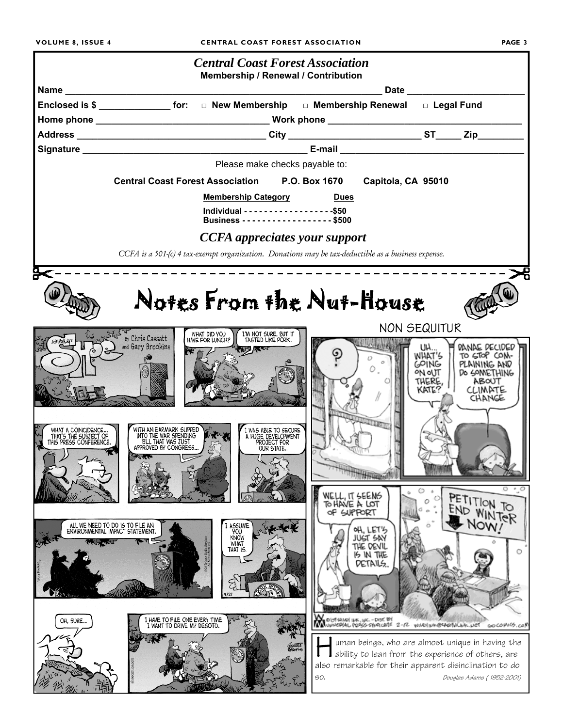